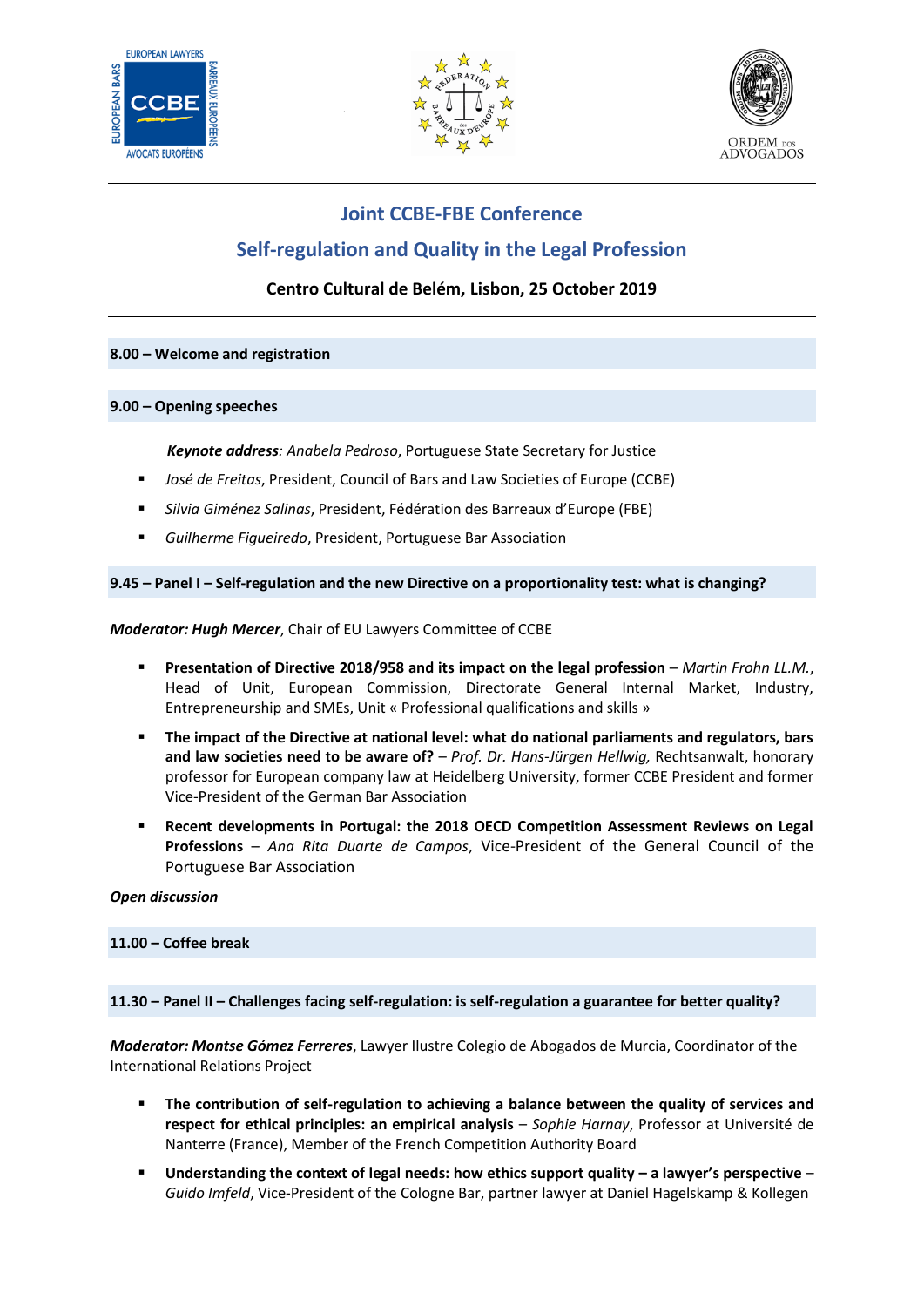





# **Joint CCBE-FBE Conference**

# **Self-regulation and Quality in the Legal Profession**

# **Centro Cultural de Belém, Lisbon, 25 October 2019**

## **8.00 – Welcome and registration**

#### **9.00 – Opening speeches**

*Keynote address: Anabela Pedroso*, Portuguese State Secretary for Justice

- *José de Freitas*, President, Council of Bars and Law Societies of Europe (CCBE)
- *Silvia Giménez Salinas*, President, Fédération des Barreaux d'Europe (FBE)
- *Guilherme Figueiredo*, President, Portuguese Bar Association

#### **9.45 – Panel I – Self-regulation and the new Directive on a proportionality test: what is changing?**

*Moderator: Hugh Mercer*, Chair of EU Lawyers Committee of CCBE

- **Presentation of Directive 2018/958 and its impact on the legal profession** *Martin Frohn LL.M.*, Head of Unit, European Commission, Directorate General Internal Market, Industry, Entrepreneurship and SMEs, Unit « Professional qualifications and skills »
- **The impact of the Directive at national level: what do national parliaments and regulators, bars and law societies need to be aware of?** – *Prof. Dr. Hans-Jürgen Hellwig,* Rechtsanwalt, honorary professor for European company law at Heidelberg University, former CCBE President and former Vice-President of the German Bar Association
- **Recent developments in Portugal: the 2018 OECD Competition Assessment Reviews on Legal Professions** – *Ana Rita Duarte de Campos*, Vice-President of the General Council of the Portuguese Bar Association

#### *Open discussion*

#### **11.00 – Coffee break**

#### **11.30 – Panel II – Challenges facing self-regulation: is self-regulation a guarantee for better quality?**

*Moderator: Montse Gómez Ferreres*, Lawyer Ilustre Colegio de Abogados de Murcia, Coordinator of the International Relations Project

- The contribution of self-regulation to achieving a balance between the quality of services and **respect for ethical principles: an empirical analysis** – *Sophie Harnay*, Professor at Université de Nanterre (France), Member of the French Competition Authority Board
- **Understanding the context of legal needs: how ethics support quality – a lawyer's perspective** *Guido Imfeld*, Vice-President of the Cologne Bar, partner lawyer at Daniel Hagelskamp & Kollegen